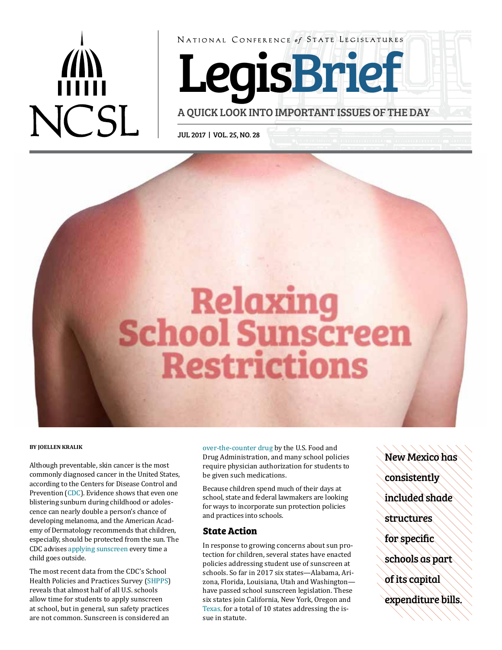# **NCSL**

NATIONAL CONFERENCE of STATE LEGISLATURES

Le gisBrief

A QUICK LOOK INTO IMPORTANT ISSUES OF THE DAY

JUL 2017 | VOL. 25, NO. 28



Although preventable, skin cancer is the most<br>
require physician authorization for students to<br>
commonly diagnosed cancer in the United States,<br>
be given such medications. commonly diagnosed cancer in the United States, according to the Centers for Disease Control and according to [the](https://www.cdc.gov/cancer/skin/statistics/index.htm) Centers for Disease Control and<br>
Prevention ([CDC](https://www.cdc.gov/cancer/skin/statistics/index.htm)). Evidence shows that even one<br>
blistering sunburn during childhood or adoles-<br>
ence can nearly double a person's chance of<br>
developing melanoma, and the Am emy of Dermatology recommends that children, **State Action** especially, should be protected from the sun. The

are not common. Sunscreen is considered an

**BY JOELLEN KRALIK** [over-the-counter drug](https://www.fda.gov/Drugs/ResourcesForYou/Consumers/BuyingUsingMedicineSafely/UnderstandingOver-the-CounterMedicines/ucm239463.htm) by the U.S. Food and Drug Administration, and many school policies

Experience of the contract of the contract of the contract of the contract of the contract of the contract of the contract of the contract of the contract of the contract of the contract of the contract of the contract of The most recent data from the CDC's School schools. So far in 2017 six states—Alabama, Ari-<br>Health Policies and Practices Survey (SHPPS) sona, Florida, Louisiana, Utah and Washington— Health Policies and Practices Survey ([SHPPS](file:///C:\Users\jane.andrade\AppData\Local\Microsoft\Windows\INetCache\Content.Outlook\TL7FALXW\to%20help%20prevent%20sunburn%20or%20to%20decrease%20the%20risks%20of%20skin%20cancer%20and%20early%20skin%20aging%20caused%20by%20the%20su)) zona, Florida, Louisiana, Utah and Washington—<br>reveals that almost half of all U.S. schools have passed school sunscreen legislation. These reveals that almost half of all U.S. schools have passed school sunscreen legislation. These allow time for students to apply sunscreen six states join California, New York, Oregon and allow time for students to apply sunscreen six states join California, New York, Oregon and at school, but in general, sun safety practices Texas. for a total of 10 states addressing the is-[Texas,](http://www.capitol.state.tx.us/BillLookup/History.aspx?LegSess=84R&Bill=SB265) for a total of 10 states addressing the is-<br>sue in statute.

New Mexico has consistently included shade structures for specific schools as part of its capital expenditure bills.